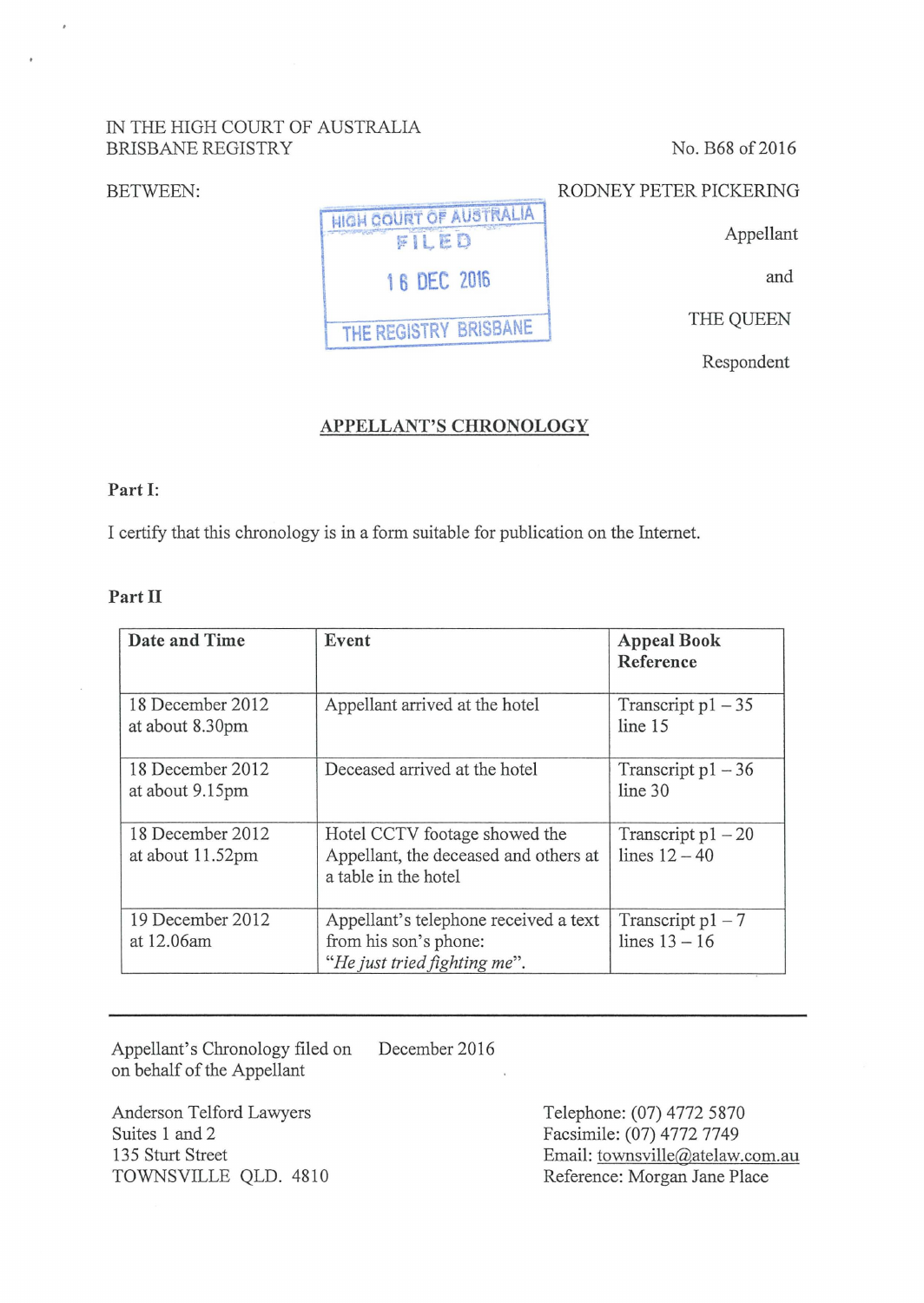## IN THE HIGH COURT OF AUSTRALIA BRISBANE REGISTRY

BETWEEN:

No. B68 of 2016

## RODNEY PETER PICKERING

Appellant

and

THE QUEEN

Respondent

# **APPELLANT'S CHRONOLOGY**

**1 6 OEC 2016** 

HIGH COURT OF AUSTRALIA FILED

**THE REGISTRY BRISBANE** 

#### **Part I:**

I certify that this chronology is in a form suitable for publication on the Internet.

## **Part II**

| Date and Time                        | Event                                                                                          | <b>Appeal Book</b><br>Reference         |
|--------------------------------------|------------------------------------------------------------------------------------------------|-----------------------------------------|
| 18 December 2012<br>at about 8.30pm  | Appellant arrived at the hotel                                                                 | Transcript $p1 - 35$<br>line 15         |
| 18 December 2012<br>at about 9.15pm  | Deceased arrived at the hotel                                                                  | Transcript $p1 - 36$<br>line 30         |
| 18 December 2012<br>at about 11.52pm | Hotel CCTV footage showed the<br>Appellant, the deceased and others at<br>a table in the hotel | Transcript $p1 - 20$<br>lines $12 - 40$ |
| 19 December 2012<br>at 12.06am       | Appellant's telephone received a text<br>from his son's phone:<br>"He just tried fighting me". | Transcript $p1 - 7$<br>lines $13 - 16$  |

Appellant's Chronology filed on on behalf of the Appellant December 2016

Anderson Telford Lawyers Suites 1 and 2 135 Sturt Street TOWNSVILLE QLD. 4810 Telephone: (07) 4772 5870 Facsimile: (07) 4772 7749 Email: townsville@atelaw.com.au Reference: Morgan Jane Place